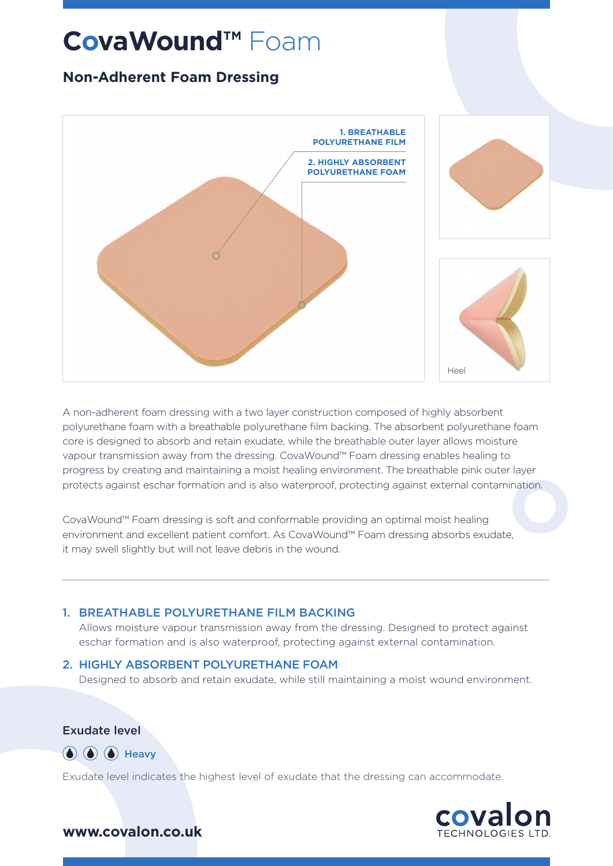# **CovaWound™** Foam

## **Non-Adherent Foam Dressing**



A non-adherent foam dressing with a two layer construction composed of highly absorbent polyurethane foam with a breathable polyurethane film backing. The absorbent polyurethane foam core is designed to absorb and retain exudate, while the breathable outer layer allows moisture vapour transmission away from the dressing. CovaWound™ Foam dressing enables healing to progress by creating and maintaining a moist healing environment. The breathable pink outer layer protects against eschar formation and is also waterproof, protecting against external contamination.

CovaWound™ Foam dressing is soft and conformable providing an optimal moist healing environment and excellent patient comfort. As CovaWound™ Foam dressing absorbs exudate, it may swell slightly but will not leave debris in the wound.

#### 1. BREATHABLE POLYURETHANE FILM BACKING

Allows moisture vapour transmission away from the dressing. Designed to protect against eschar formation and is also waterproof, protecting against external contamination.

#### 2. HIGHLY ABSORBENT POLYURETHANE FOAM

Designed to absorb and retain exudate, while still maintaining a moist wound environment.

Exudate level



Exudate level indicates the highest level of exudate that the dressing can accommodate.



#### **www.covalon.co.uk**